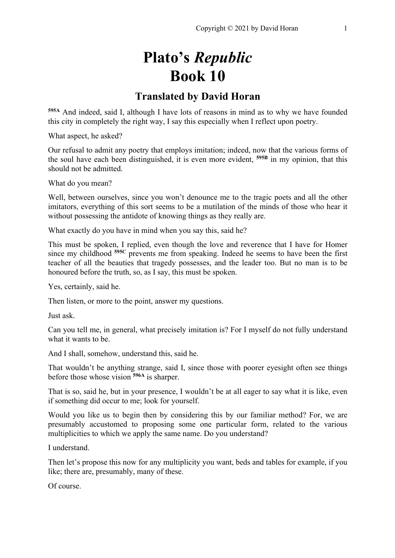# **Plato's** *Republic* **Book 10**

## **Translated by David Horan**

**595A** And indeed, said I, although I have lots of reasons in mind as to why we have founded this city in completely the right way, I say this especially when I reflect upon poetry.

What aspect, he asked?

Our refusal to admit any poetry that employs imitation; indeed, now that the various forms of the soul have each been distinguished, it is even more evident, **595B** in my opinion, that this should not be admitted.

What do you mean?

Well, between ourselves, since you won't denounce me to the tragic poets and all the other imitators, everything of this sort seems to be a mutilation of the minds of those who hear it without possessing the antidote of knowing things as they really are.

What exactly do you have in mind when you say this, said he?

This must be spoken, I replied, even though the love and reverence that I have for Homer since my childhood **595C** prevents me from speaking. Indeed he seems to have been the first teacher of all the beauties that tragedy possesses, and the leader too. But no man is to be honoured before the truth, so, as I say, this must be spoken.

Yes, certainly, said he.

Then listen, or more to the point, answer my questions.

Just ask.

Can you tell me, in general, what precisely imitation is? For I myself do not fully understand what it wants to be.

And I shall, somehow, understand this, said he.

That wouldn't be anything strange, said I, since those with poorer eyesight often see things before those whose vision **596A** is sharper.

That is so, said he, but in your presence, I wouldn't be at all eager to say what it is like, even if something did occur to me; look for yourself.

Would you like us to begin then by considering this by our familiar method? For, we are presumably accustomed to proposing some one particular form, related to the various multiplicities to which we apply the same name. Do you understand?

I understand.

Then let's propose this now for any multiplicity you want, beds and tables for example, if you like; there are, presumably, many of these.

Of course.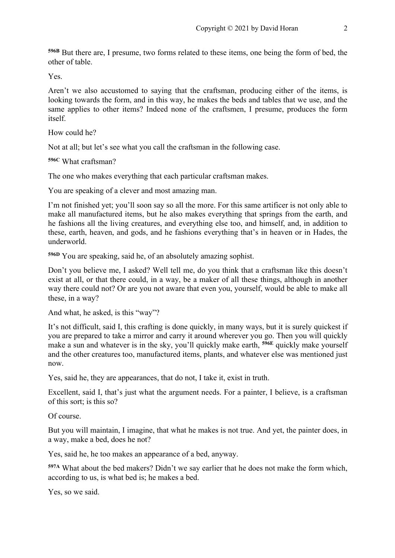**596B** But there are, I presume, two forms related to these items, one being the form of bed, the other of table.

Yes.

Aren't we also accustomed to saying that the craftsman, producing either of the items, is looking towards the form, and in this way, he makes the beds and tables that we use, and the same applies to other items? Indeed none of the craftsmen, I presume, produces the form itself.

How could he?

Not at all; but let's see what you call the craftsman in the following case.

**596C** What craftsman?

The one who makes everything that each particular craftsman makes.

You are speaking of a clever and most amazing man.

I'm not finished yet; you'll soon say so all the more. For this same artificer is not only able to make all manufactured items, but he also makes everything that springs from the earth, and he fashions all the living creatures, and everything else too, and himself, and, in addition to these, earth, heaven, and gods, and he fashions everything that's in heaven or in Hades, the underworld.

**596D** You are speaking, said he, of an absolutely amazing sophist.

Don't you believe me, I asked? Well tell me, do you think that a craftsman like this doesn't exist at all, or that there could, in a way, be a maker of all these things, although in another way there could not? Or are you not aware that even you, yourself, would be able to make all these, in a way?

And what, he asked, is this "way"?

It's not difficult, said I, this crafting is done quickly, in many ways, but it is surely quickest if you are prepared to take a mirror and carry it around wherever you go. Then you will quickly make a sun and whatever is in the sky, you'll quickly make earth, **596E** quickly make yourself and the other creatures too, manufactured items, plants, and whatever else was mentioned just now.

Yes, said he, they are appearances, that do not, I take it, exist in truth.

Excellent, said I, that's just what the argument needs. For a painter, I believe, is a craftsman of this sort; is this so?

Of course.

But you will maintain, I imagine, that what he makes is not true. And yet, the painter does, in a way, make a bed, does he not?

Yes, said he, he too makes an appearance of a bed, anyway.

**597A** What about the bed makers? Didn't we say earlier that he does not make the form which, according to us, is what bed is; he makes a bed.

Yes, so we said.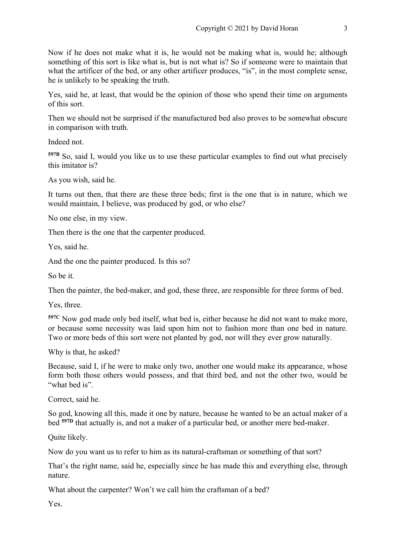Now if he does not make what it is, he would not be making what is, would he; although something of this sort is like what is, but is not what is? So if someone were to maintain that what the artificer of the bed, or any other artificer produces, "is", in the most complete sense, he is unlikely to be speaking the truth.

Yes, said he, at least, that would be the opinion of those who spend their time on arguments of this sort.

Then we should not be surprised if the manufactured bed also proves to be somewhat obscure in comparison with truth.

Indeed not.

**597B** So, said I, would you like us to use these particular examples to find out what precisely this imitator is?

As you wish, said he.

It turns out then, that there are these three beds; first is the one that is in nature, which we would maintain, I believe, was produced by god, or who else?

No one else, in my view.

Then there is the one that the carpenter produced.

Yes, said he.

And the one the painter produced. Is this so?

So be it.

Then the painter, the bed-maker, and god, these three, are responsible for three forms of bed.

Yes, three.

**597C** Now god made only bed itself, what bed is, either because he did not want to make more, or because some necessity was laid upon him not to fashion more than one bed in nature. Two or more beds of this sort were not planted by god, nor will they ever grow naturally.

Why is that, he asked?

Because, said I, if he were to make only two, another one would make its appearance, whose form both those others would possess, and that third bed, and not the other two, would be "what bed is".

Correct, said he.

So god, knowing all this, made it one by nature, because he wanted to be an actual maker of a bed **597D** that actually is, and not a maker of a particular bed, or another mere bed-maker.

Quite likely.

Now do you want us to refer to him as its natural-craftsman or something of that sort?

That's the right name, said he, especially since he has made this and everything else, through nature.

What about the carpenter? Won't we call him the craftsman of a bed?

Yes.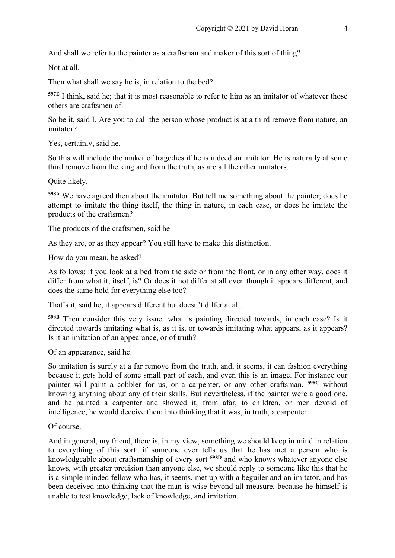And shall we refer to the painter as a craftsman and maker of this sort of thing?

Not at all.

Then what shall we say he is, in relation to the bed?

**597E** I think, said he; that it is most reasonable to refer to him as an imitator of whatever those others are craftsmen of.

So be it, said I. Are you to call the person whose product is at a third remove from nature, an imitator?

Yes, certainly, said he.

So this will include the maker of tragedies if he is indeed an imitator. He is naturally at some third remove from the king and from the truth, as are all the other imitators.

Quite likely.

**598A** We have agreed then about the imitator. But tell me something about the painter; does he attempt to imitate the thing itself, the thing in nature, in each case, or does he imitate the products of the craftsmen?

The products of the craftsmen, said he.

As they are, or as they appear? You still have to make this distinction.

How do you mean, he asked?

As follows; if you look at a bed from the side or from the front, or in any other way, does it differ from what it, itself, is? Or does it not differ at all even though it appears different, and does the same hold for everything else too?

That's it, said he, it appears different but doesn't differ at all.

**598B** Then consider this very issue: what is painting directed towards, in each case? Is it directed towards imitating what is, as it is, or towards imitating what appears, as it appears? Is it an imitation of an appearance, or of truth?

Of an appearance, said he.

So imitation is surely at a far remove from the truth, and, it seems, it can fashion everything because it gets hold of some small part of each, and even this is an image. For instance our painter will paint a cobbler for us, or a carpenter, or any other craftsman, **598C** without knowing anything about any of their skills. But nevertheless, if the painter were a good one, and he painted a carpenter and showed it, from afar, to children, or men devoid of intelligence, he would deceive them into thinking that it was, in truth, a carpenter.

Of course.

And in general, my friend, there is, in my view, something we should keep in mind in relation to everything of this sort: if someone ever tells us that he has met a person who is knowledgeable about craftsmanship of every sort **598D** and who knows whatever anyone else knows, with greater precision than anyone else, we should reply to someone like this that he is a simple minded fellow who has, it seems, met up with a beguiler and an imitator, and has been deceived into thinking that the man is wise beyond all measure, because he himself is unable to test knowledge, lack of knowledge, and imitation.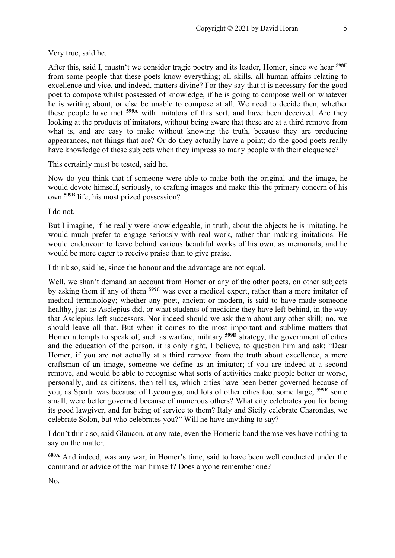Very true, said he.

After this, said I, mustn't we consider tragic poetry and its leader, Homer, since we hear **598E** from some people that these poets know everything; all skills, all human affairs relating to excellence and vice, and indeed, matters divine? For they say that it is necessary for the good poet to compose whilst possessed of knowledge, if he is going to compose well on whatever he is writing about, or else be unable to compose at all. We need to decide then, whether these people have met **599A** with imitators of this sort, and have been deceived. Are they looking at the products of imitators, without being aware that these are at a third remove from what is, and are easy to make without knowing the truth, because they are producing appearances, not things that are? Or do they actually have a point; do the good poets really have knowledge of these subjects when they impress so many people with their eloquence?

This certainly must be tested, said he.

Now do you think that if someone were able to make both the original and the image, he would devote himself, seriously, to crafting images and make this the primary concern of his own **599B** life; his most prized possession?

I do not.

But I imagine, if he really were knowledgeable, in truth, about the objects he is imitating, he would much prefer to engage seriously with real work, rather than making imitations. He would endeavour to leave behind various beautiful works of his own, as memorials, and he would be more eager to receive praise than to give praise.

I think so, said he, since the honour and the advantage are not equal.

Well, we shan't demand an account from Homer or any of the other poets, on other subjects by asking them if any of them **599C** was ever a medical expert, rather than a mere imitator of medical terminology; whether any poet, ancient or modern, is said to have made someone healthy, just as Asclepius did, or what students of medicine they have left behind, in the way that Asclepius left successors. Nor indeed should we ask them about any other skill; no, we should leave all that. But when it comes to the most important and sublime matters that Homer attempts to speak of, such as warfare, military **599D** strategy, the government of cities and the education of the person, it is only right, I believe, to question him and ask: "Dear Homer, if you are not actually at a third remove from the truth about excellence, a mere craftsman of an image, someone we define as an imitator; if you are indeed at a second remove, and would be able to recognise what sorts of activities make people better or worse, personally, and as citizens, then tell us, which cities have been better governed because of you, as Sparta was because of Lycourgos, and lots of other cities too, some large, **599E** some small, were better governed because of numerous others? What city celebrates you for being its good lawgiver, and for being of service to them? Italy and Sicily celebrate Charondas, we celebrate Solon, but who celebrates you?" Will he have anything to say?

I don't think so, said Glaucon, at any rate, even the Homeric band themselves have nothing to say on the matter.

**600A** And indeed, was any war, in Homer's time, said to have been well conducted under the command or advice of the man himself? Does anyone remember one?

No.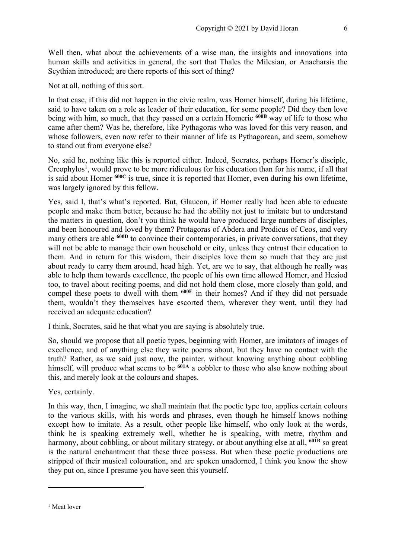Well then, what about the achievements of a wise man, the insights and innovations into human skills and activities in general, the sort that Thales the Milesian, or Anacharsis the Scythian introduced; are there reports of this sort of thing?

Not at all, nothing of this sort.

In that case, if this did not happen in the civic realm, was Homer himself, during his lifetime, said to have taken on a role as leader of their education, for some people? Did they then love being with him, so much, that they passed on a certain Homeric **600B** way of life to those who came after them? Was he, therefore, like Pythagoras who was loved for this very reason, and whose followers, even now refer to their manner of life as Pythagorean, and seem, somehow to stand out from everyone else?

No, said he, nothing like this is reported either. Indeed, Socrates, perhaps Homer's disciple, Creophylos<sup>1</sup>, would prove to be more ridiculous for his education than for his name, if all that is said about Homer **600C** is true, since it is reported that Homer, even during his own lifetime, was largely ignored by this fellow.

Yes, said I, that's what's reported. But, Glaucon, if Homer really had been able to educate people and make them better, because he had the ability not just to imitate but to understand the matters in question, don't you think he would have produced large numbers of disciples, and been honoured and loved by them? Protagoras of Abdera and Prodicus of Ceos, and very many others are able <sup>600D</sup> to convince their contemporaries, in private conversations, that they will not be able to manage their own household or city, unless they entrust their education to them. And in return for this wisdom, their disciples love them so much that they are just about ready to carry them around, head high. Yet, are we to say, that although he really was able to help them towards excellence, the people of his own time allowed Homer, and Hesiod too, to travel about reciting poems, and did not hold them close, more closely than gold, and compel these poets to dwell with them **600E** in their homes? And if they did not persuade them, wouldn't they themselves have escorted them, wherever they went, until they had received an adequate education?

I think, Socrates, said he that what you are saying is absolutely true.

So, should we propose that all poetic types, beginning with Homer, are imitators of images of excellence, and of anything else they write poems about, but they have no contact with the truth? Rather, as we said just now, the painter, without knowing anything about cobbling himself, will produce what seems to be <sup>601A</sup> a cobbler to those who also know nothing about this, and merely look at the colours and shapes.

Yes, certainly.

In this way, then, I imagine, we shall maintain that the poetic type too, applies certain colours to the various skills, with his words and phrases, even though he himself knows nothing except how to imitate. As a result, other people like himself, who only look at the words, think he is speaking extremely well, whether he is speaking, with metre, rhythm and harmony, about cobbling, or about military strategy, or about anything else at all, **601B** so great is the natural enchantment that these three possess. But when these poetic productions are stripped of their musical colouration, and are spoken unadorned, I think you know the show they put on, since I presume you have seen this yourself.

<sup>&</sup>lt;sup>1</sup> Meat lover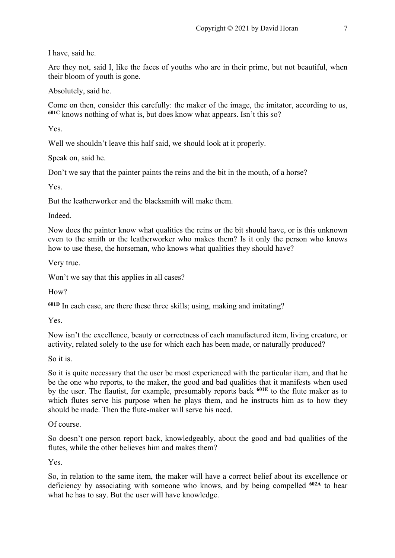I have, said he.

Are they not, said I, like the faces of youths who are in their prime, but not beautiful, when their bloom of youth is gone.

Absolutely, said he.

Come on then, consider this carefully: the maker of the image, the imitator, according to us, **601C** knows nothing of what is, but does know what appears. Isn't this so?

Yes.

Well we shouldn't leave this half said, we should look at it properly.

Speak on, said he.

Don't we say that the painter paints the reins and the bit in the mouth, of a horse?

Yes.

But the leatherworker and the blacksmith will make them.

Indeed.

Now does the painter know what qualities the reins or the bit should have, or is this unknown even to the smith or the leatherworker who makes them? Is it only the person who knows how to use these, the horseman, who knows what qualities they should have?

Very true.

Won't we say that this applies in all cases?

How?

**601D** In each case, are there these three skills; using, making and imitating?

Yes.

Now isn't the excellence, beauty or correctness of each manufactured item, living creature, or activity, related solely to the use for which each has been made, or naturally produced?

So it is.

So it is quite necessary that the user be most experienced with the particular item, and that he be the one who reports, to the maker, the good and bad qualities that it manifests when used by the user. The flautist, for example, presumably reports back **601E** to the flute maker as to which flutes serve his purpose when he plays them, and he instructs him as to how they should be made. Then the flute-maker will serve his need.

Of course.

So doesn't one person report back, knowledgeably, about the good and bad qualities of the flutes, while the other believes him and makes them?

Yes.

So, in relation to the same item, the maker will have a correct belief about its excellence or deficiency by associating with someone who knows, and by being compelled **602A** to hear what he has to say. But the user will have knowledge.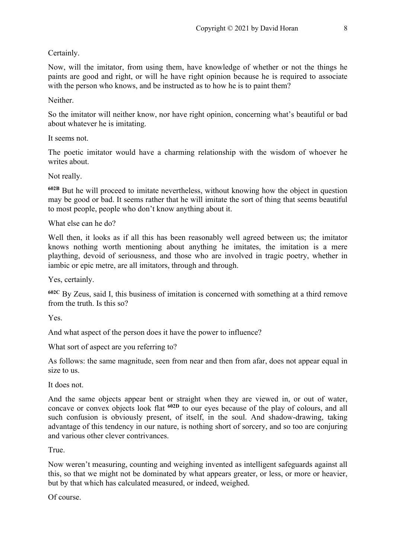#### Certainly.

Now, will the imitator, from using them, have knowledge of whether or not the things he paints are good and right, or will he have right opinion because he is required to associate with the person who knows, and be instructed as to how he is to paint them?

Neither.

So the imitator will neither know, nor have right opinion, concerning what's beautiful or bad about whatever he is imitating.

It seems not.

The poetic imitator would have a charming relationship with the wisdom of whoever he writes about.

Not really.

**602B** But he will proceed to imitate nevertheless, without knowing how the object in question may be good or bad. It seems rather that he will imitate the sort of thing that seems beautiful to most people, people who don't know anything about it.

What else can he do?

Well then, it looks as if all this has been reasonably well agreed between us; the imitator knows nothing worth mentioning about anything he imitates, the imitation is a mere plaything, devoid of seriousness, and those who are involved in tragic poetry, whether in iambic or epic metre, are all imitators, through and through.

Yes, certainly.

**602C** By Zeus, said I, this business of imitation is concerned with something at a third remove from the truth. Is this so?

Yes.

And what aspect of the person does it have the power to influence?

What sort of aspect are you referring to?

As follows: the same magnitude, seen from near and then from afar, does not appear equal in size to us.

It does not.

And the same objects appear bent or straight when they are viewed in, or out of water, concave or convex objects look flat <sup>602D</sup> to our eyes because of the play of colours, and all such confusion is obviously present, of itself, in the soul. And shadow-drawing, taking advantage of this tendency in our nature, is nothing short of sorcery, and so too are conjuring and various other clever contrivances.

True.

Now weren't measuring, counting and weighing invented as intelligent safeguards against all this, so that we might not be dominated by what appears greater, or less, or more or heavier, but by that which has calculated measured, or indeed, weighed.

Of course.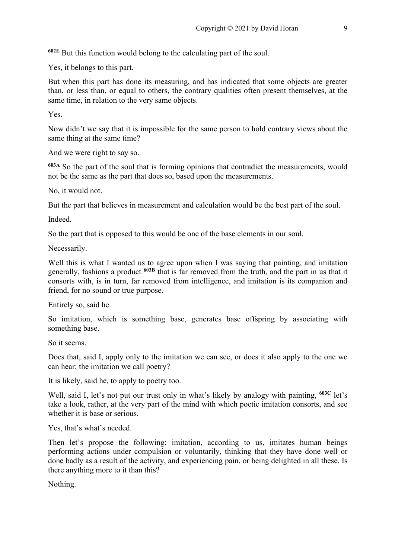**602E** But this function would belong to the calculating part of the soul.

Yes, it belongs to this part.

But when this part has done its measuring, and has indicated that some objects are greater than, or less than, or equal to others, the contrary qualities often present themselves, at the same time, in relation to the very same objects.

Yes.

Now didn't we say that it is impossible for the same person to hold contrary views about the same thing at the same time?

And we were right to say so.

**603A** So the part of the soul that is forming opinions that contradict the measurements, would not be the same as the part that does so, based upon the measurements.

No, it would not.

But the part that believes in measurement and calculation would be the best part of the soul.

Indeed.

So the part that is opposed to this would be one of the base elements in our soul.

Necessarily.

Well this is what I wanted us to agree upon when I was saying that painting, and imitation generally, fashions a product <sup>603B</sup> that is far removed from the truth, and the part in us that it consorts with, is in turn, far removed from intelligence, and imitation is its companion and friend, for no sound or true purpose.

Entirely so, said he.

So imitation, which is something base, generates base offspring by associating with something base.

So it seems.

Does that, said I, apply only to the imitation we can see, or does it also apply to the one we can hear; the imitation we call poetry?

It is likely, said he, to apply to poetry too.

Well, said I, let's not put our trust only in what's likely by analogy with painting, <sup>603C</sup> let's take a look, rather, at the very part of the mind with which poetic imitation consorts, and see whether it is base or serious.

Yes, that's what's needed.

Then let's propose the following: imitation, according to us, imitates human beings performing actions under compulsion or voluntarily, thinking that they have done well or done badly as a result of the activity, and experiencing pain, or being delighted in all these. Is there anything more to it than this?

Nothing.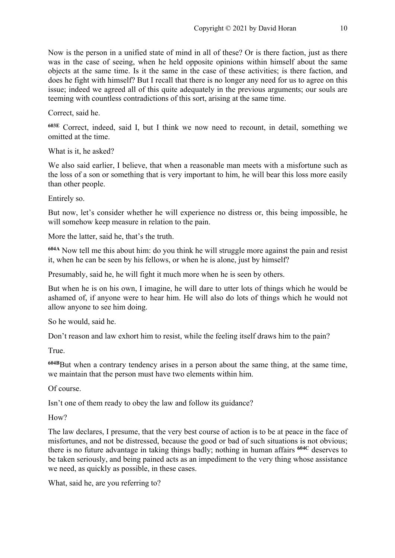Now is the person in a unified state of mind in all of these? Or is there faction, just as there was in the case of seeing, when he held opposite opinions within himself about the same objects at the same time. Is it the same in the case of these activities; is there faction, and does he fight with himself? But I recall that there is no longer any need for us to agree on this issue; indeed we agreed all of this quite adequately in the previous arguments; our souls are teeming with countless contradictions of this sort, arising at the same time.

Correct, said he.

**603E** Correct, indeed, said I, but I think we now need to recount, in detail, something we omitted at the time.

What is it, he asked?

We also said earlier, I believe, that when a reasonable man meets with a misfortune such as the loss of a son or something that is very important to him, he will bear this loss more easily than other people.

Entirely so.

But now, let's consider whether he will experience no distress or, this being impossible, he will somehow keep measure in relation to the pain.

More the latter, said he, that's the truth.

**604A** Now tell me this about him: do you think he will struggle more against the pain and resist it, when he can be seen by his fellows, or when he is alone, just by himself?

Presumably, said he, he will fight it much more when he is seen by others.

But when he is on his own, I imagine, he will dare to utter lots of things which he would be ashamed of, if anyone were to hear him. He will also do lots of things which he would not allow anyone to see him doing.

So he would, said he.

Don't reason and law exhort him to resist, while the feeling itself draws him to the pain?

True.

**604B**But when a contrary tendency arises in a person about the same thing, at the same time, we maintain that the person must have two elements within him.

Of course.

Isn't one of them ready to obey the law and follow its guidance?

H<sub>ow</sub>?

The law declares, I presume, that the very best course of action is to be at peace in the face of misfortunes, and not be distressed, because the good or bad of such situations is not obvious; there is no future advantage in taking things badly; nothing in human affairs **604C** deserves to be taken seriously, and being pained acts as an impediment to the very thing whose assistance we need, as quickly as possible, in these cases.

What, said he, are you referring to?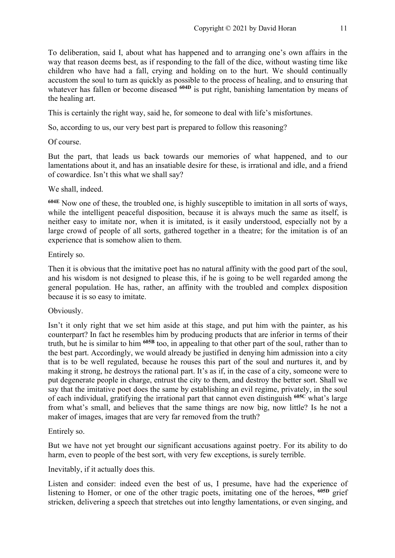To deliberation, said I, about what has happened and to arranging one's own affairs in the way that reason deems best, as if responding to the fall of the dice, without wasting time like children who have had a fall, crying and holding on to the hurt. We should continually accustom the soul to turn as quickly as possible to the process of healing, and to ensuring that whatever has fallen or become diseased <sup>604D</sup> is put right, banishing lamentation by means of the healing art.

This is certainly the right way, said he, for someone to deal with life's misfortunes.

So, according to us, our very best part is prepared to follow this reasoning?

#### Of course.

But the part, that leads us back towards our memories of what happened, and to our lamentations about it, and has an insatiable desire for these, is irrational and idle, and a friend of cowardice. Isn't this what we shall say?

#### We shall, indeed.

**604E** Now one of these, the troubled one, is highly susceptible to imitation in all sorts of ways, while the intelligent peaceful disposition, because it is always much the same as itself, is neither easy to imitate nor, when it is imitated, is it easily understood, especially not by a large crowd of people of all sorts, gathered together in a theatre; for the imitation is of an experience that is somehow alien to them.

#### Entirely so.

Then it is obvious that the imitative poet has no natural affinity with the good part of the soul, and his wisdom is not designed to please this, if he is going to be well regarded among the general population. He has, rather, an affinity with the troubled and complex disposition because it is so easy to imitate.

#### Obviously.

Isn't it only right that we set him aside at this stage, and put him with the painter, as his counterpart? In fact he resembles him by producing products that are inferior in terms of their truth, but he is similar to him **605B** too, in appealing to that other part of the soul, rather than to the best part. Accordingly, we would already be justified in denying him admission into a city that is to be well regulated, because he rouses this part of the soul and nurtures it, and by making it strong, he destroys the rational part. It's as if, in the case of a city, someone were to put degenerate people in charge, entrust the city to them, and destroy the better sort. Shall we say that the imitative poet does the same by establishing an evil regime, privately, in the soul of each individual, gratifying the irrational part that cannot even distinguish **605C** what's large from what's small, and believes that the same things are now big, now little? Is he not a maker of images, images that are very far removed from the truth?

#### Entirely so.

But we have not yet brought our significant accusations against poetry. For its ability to do harm, even to people of the best sort, with very few exceptions, is surely terrible.

#### Inevitably, if it actually does this.

Listen and consider: indeed even the best of us, I presume, have had the experience of listening to Homer, or one of the other tragic poets, imitating one of the heroes, **605D** grief stricken, delivering a speech that stretches out into lengthy lamentations, or even singing, and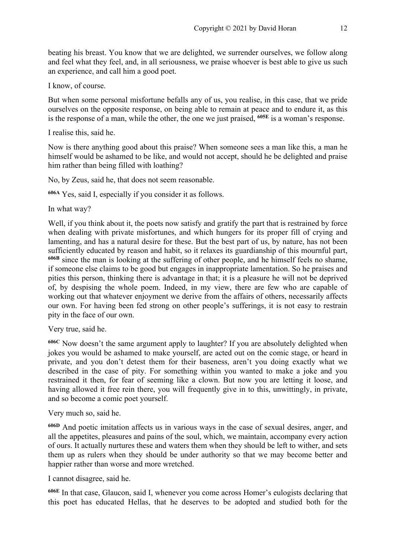beating his breast. You know that we are delighted, we surrender ourselves, we follow along and feel what they feel, and, in all seriousness, we praise whoever is best able to give us such an experience, and call him a good poet.

I know, of course.

But when some personal misfortune befalls any of us, you realise, in this case, that we pride ourselves on the opposite response, on being able to remain at peace and to endure it, as this is the response of a man, while the other, the one we just praised, **605E** is a woman's response.

I realise this, said he.

Now is there anything good about this praise? When someone sees a man like this, a man he himself would be ashamed to be like, and would not accept, should he be delighted and praise him rather than being filled with loathing?

No, by Zeus, said he, that does not seem reasonable.

**606A** Yes, said I, especially if you consider it as follows.

In what way?

Well, if you think about it, the poets now satisfy and gratify the part that is restrained by force when dealing with private misfortunes, and which hungers for its proper fill of crying and lamenting, and has a natural desire for these. But the best part of us, by nature, has not been sufficiently educated by reason and habit, so it relaxes its guardianship of this mournful part, **606B** since the man is looking at the suffering of other people, and he himself feels no shame, if someone else claims to be good but engages in inappropriate lamentation. So he praises and pities this person, thinking there is advantage in that; it is a pleasure he will not be deprived of, by despising the whole poem. Indeed, in my view, there are few who are capable of working out that whatever enjoyment we derive from the affairs of others, necessarily affects our own. For having been fed strong on other people's sufferings, it is not easy to restrain pity in the face of our own.

Very true, said he.

**606C** Now doesn't the same argument apply to laughter? If you are absolutely delighted when jokes you would be ashamed to make yourself, are acted out on the comic stage, or heard in private, and you don't detest them for their baseness, aren't you doing exactly what we described in the case of pity. For something within you wanted to make a joke and you restrained it then, for fear of seeming like a clown. But now you are letting it loose, and having allowed it free rein there, you will frequently give in to this, unwittingly, in private, and so become a comic poet yourself.

#### Very much so, said he.

**606D** And poetic imitation affects us in various ways in the case of sexual desires, anger, and all the appetites, pleasures and pains of the soul, which, we maintain, accompany every action of ours. It actually nurtures these and waters them when they should be left to wither, and sets them up as rulers when they should be under authority so that we may become better and happier rather than worse and more wretched.

I cannot disagree, said he.

**606E** In that case, Glaucon, said I, whenever you come across Homer's eulogists declaring that this poet has educated Hellas, that he deserves to be adopted and studied both for the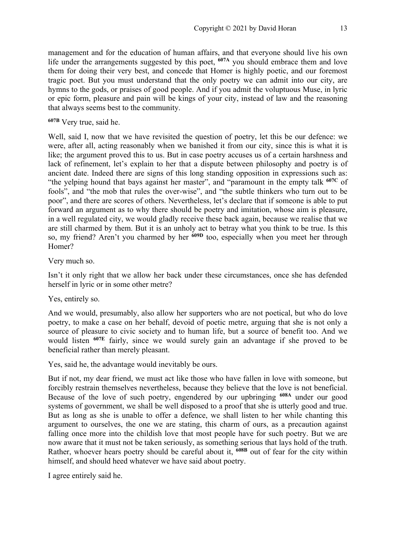management and for the education of human affairs, and that everyone should live his own life under the arrangements suggested by this poet, **607A** you should embrace them and love them for doing their very best, and concede that Homer is highly poetic, and our foremost tragic poet. But you must understand that the only poetry we can admit into our city, are hymns to the gods, or praises of good people. And if you admit the voluptuous Muse, in lyric or epic form, pleasure and pain will be kings of your city, instead of law and the reasoning that always seems best to the community.

#### **607B** Very true, said he.

Well, said I, now that we have revisited the question of poetry, let this be our defence: we were, after all, acting reasonably when we banished it from our city, since this is what it is like; the argument proved this to us. But in case poetry accuses us of a certain harshness and lack of refinement, let's explain to her that a dispute between philosophy and poetry is of ancient date. Indeed there are signs of this long standing opposition in expressions such as: "the yelping hound that bays against her master", and "paramount in the empty talk **607C** of fools", and "the mob that rules the over-wise", and "the subtle thinkers who turn out to be poor", and there are scores of others. Nevertheless, let's declare that if someone is able to put forward an argument as to why there should be poetry and imitation, whose aim is pleasure, in a well regulated city, we would gladly receive these back again, because we realise that we are still charmed by them. But it is an unholy act to betray what you think to be true. Is this so, my friend? Aren't you charmed by her **609D** too, especially when you meet her through Homer?

#### Very much so.

Isn't it only right that we allow her back under these circumstances, once she has defended herself in lyric or in some other metre?

#### Yes, entirely so.

And we would, presumably, also allow her supporters who are not poetical, but who do love poetry, to make a case on her behalf, devoid of poetic metre, arguing that she is not only a source of pleasure to civic society and to human life, but a source of benefit too. And we would listen **607E** fairly, since we would surely gain an advantage if she proved to be beneficial rather than merely pleasant.

Yes, said he, the advantage would inevitably be ours.

But if not, my dear friend, we must act like those who have fallen in love with someone, but forcibly restrain themselves nevertheless, because they believe that the love is not beneficial. Because of the love of such poetry, engendered by our upbringing **608A** under our good systems of government, we shall be well disposed to a proof that she is utterly good and true. But as long as she is unable to offer a defence, we shall listen to her while chanting this argument to ourselves, the one we are stating, this charm of ours, as a precaution against falling once more into the childish love that most people have for such poetry. But we are now aware that it must not be taken seriously, as something serious that lays hold of the truth. Rather, whoever hears poetry should be careful about it, **608B** out of fear for the city within himself, and should heed whatever we have said about poetry.

I agree entirely said he.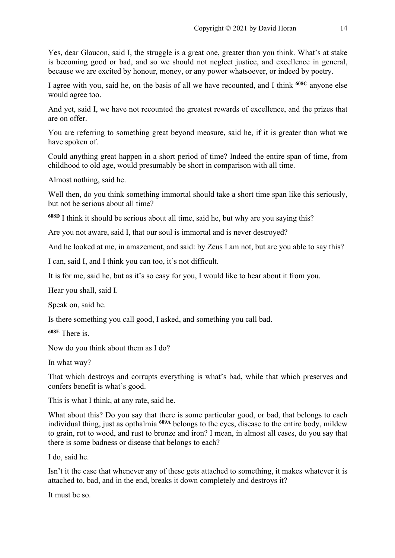Yes, dear Glaucon, said I, the struggle is a great one, greater than you think. What's at stake is becoming good or bad, and so we should not neglect justice, and excellence in general, because we are excited by honour, money, or any power whatsoever, or indeed by poetry.

I agree with you, said he, on the basis of all we have recounted, and I think **608C** anyone else would agree too.

And yet, said I, we have not recounted the greatest rewards of excellence, and the prizes that are on offer.

You are referring to something great beyond measure, said he, if it is greater than what we have spoken of.

Could anything great happen in a short period of time? Indeed the entire span of time, from childhood to old age, would presumably be short in comparison with all time.

Almost nothing, said he.

Well then, do you think something immortal should take a short time span like this seriously, but not be serious about all time?

**608D** I think it should be serious about all time, said he, but why are you saying this?

Are you not aware, said I, that our soul is immortal and is never destroyed?

And he looked at me, in amazement, and said: by Zeus I am not, but are you able to say this?

I can, said I, and I think you can too, it's not difficult.

It is for me, said he, but as it's so easy for you, I would like to hear about it from you.

Hear you shall, said I.

Speak on, said he.

Is there something you call good, I asked, and something you call bad.

**608E** There is.

Now do you think about them as I do?

In what way?

That which destroys and corrupts everything is what's bad, while that which preserves and confers benefit is what's good.

This is what I think, at any rate, said he.

What about this? Do you say that there is some particular good, or bad, that belongs to each individual thing, just as opthalmia **609A** belongs to the eyes, disease to the entire body, mildew to grain, rot to wood, and rust to bronze and iron? I mean, in almost all cases, do you say that there is some badness or disease that belongs to each?

I do, said he.

Isn't it the case that whenever any of these gets attached to something, it makes whatever it is attached to, bad, and in the end, breaks it down completely and destroys it?

It must be so.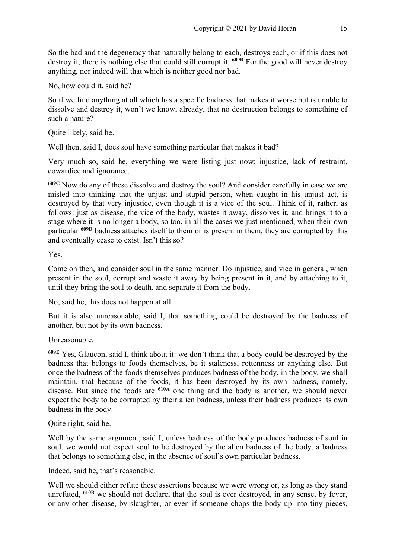So the bad and the degeneracy that naturally belong to each, destroys each, or if this does not destroy it, there is nothing else that could still corrupt it. **609B** For the good will never destroy anything, nor indeed will that which is neither good nor bad.

No, how could it, said he?

So if we find anything at all which has a specific badness that makes it worse but is unable to dissolve and destroy it, won't we know, already, that no destruction belongs to something of such a nature?

Quite likely, said he.

Well then, said I, does soul have something particular that makes it bad?

Very much so, said he, everything we were listing just now: injustice, lack of restraint, cowardice and ignorance.

**609C** Now do any of these dissolve and destroy the soul? And consider carefully in case we are misled into thinking that the unjust and stupid person, when caught in his unjust act, is destroyed by that very injustice, even though it is a vice of the soul. Think of it, rather, as follows: just as disease, the vice of the body, wastes it away, dissolves it, and brings it to a stage where it is no longer a body, so too, in all the cases we just mentioned, when their own particular **609D** badness attaches itself to them or is present in them, they are corrupted by this and eventually cease to exist. Isn't this so?

Yes.

Come on then, and consider soul in the same manner. Do injustice, and vice in general, when present in the soul, corrupt and waste it away by being present in it, and by attaching to it, until they bring the soul to death, and separate it from the body.

No, said he, this does not happen at all.

But it is also unreasonable, said I, that something could be destroyed by the badness of another, but not by its own badness.

Unreasonable.

**609E** Yes, Glaucon, said I, think about it: we don't think that a body could be destroyed by the badness that belongs to foods themselves, be it staleness, rottenness or anything else. But once the badness of the foods themselves produces badness of the body, in the body, we shall maintain, that because of the foods, it has been destroyed by its own badness, namely, disease. But since the foods are <sup>610A</sup> one thing and the body is another, we should never expect the body to be corrupted by their alien badness, unless their badness produces its own badness in the body.

Quite right, said he.

Well by the same argument, said I, unless badness of the body produces badness of soul in soul, we would not expect soul to be destroyed by the alien badness of the body, a badness that belongs to something else, in the absence of soul's own particular badness.

Indeed, said he, that's reasonable.

Well we should either refute these assertions because we were wrong or, as long as they stand unrefuted, **610B** we should not declare, that the soul is ever destroyed, in any sense, by fever, or any other disease, by slaughter, or even if someone chops the body up into tiny pieces,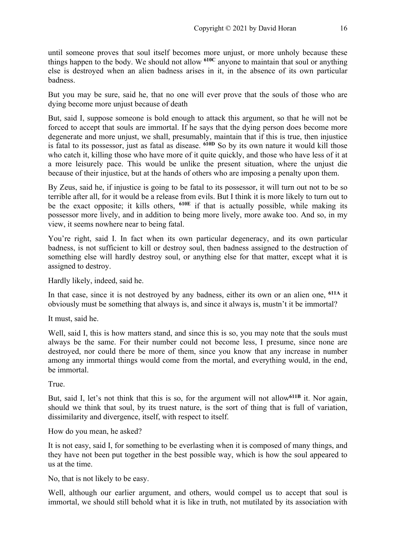until someone proves that soul itself becomes more unjust, or more unholy because these things happen to the body. We should not allow **610C** anyone to maintain that soul or anything else is destroyed when an alien badness arises in it, in the absence of its own particular badness.

But you may be sure, said he, that no one will ever prove that the souls of those who are dying become more unjust because of death

But, said I, suppose someone is bold enough to attack this argument, so that he will not be forced to accept that souls are immortal. If he says that the dying person does become more degenerate and more unjust, we shall, presumably, maintain that if this is true, then injustice is fatal to its possessor, just as fatal as disease. **610D** So by its own nature it would kill those who catch it, killing those who have more of it quite quickly, and those who have less of it at a more leisurely pace. This would be unlike the present situation, where the unjust die because of their injustice, but at the hands of others who are imposing a penalty upon them.

By Zeus, said he, if injustice is going to be fatal to its possessor, it will turn out not to be so terrible after all, for it would be a release from evils. But I think it is more likely to turn out to be the exact opposite; it kills others, **610E** if that is actually possible, while making its possessor more lively, and in addition to being more lively, more awake too. And so, in my view, it seems nowhere near to being fatal.

You're right, said I. In fact when its own particular degeneracy, and its own particular badness, is not sufficient to kill or destroy soul, then badness assigned to the destruction of something else will hardly destroy soul, or anything else for that matter, except what it is assigned to destroy.

Hardly likely, indeed, said he.

In that case, since it is not destroyed by any badness, either its own or an alien one, **611A** it obviously must be something that always is, and since it always is, mustn't it be immortal?

It must, said he.

Well, said I, this is how matters stand, and since this is so, you may note that the souls must always be the same. For their number could not become less, I presume, since none are destroyed, nor could there be more of them, since you know that any increase in number among any immortal things would come from the mortal, and everything would, in the end, be immortal.

True.

But, said I, let's not think that this is so, for the argument will not allow**611B** it. Nor again, should we think that soul, by its truest nature, is the sort of thing that is full of variation, dissimilarity and divergence, itself, with respect to itself.

How do you mean, he asked?

It is not easy, said I, for something to be everlasting when it is composed of many things, and they have not been put together in the best possible way, which is how the soul appeared to us at the time.

No, that is not likely to be easy.

Well, although our earlier argument, and others, would compel us to accept that soul is immortal, we should still behold what it is like in truth, not mutilated by its association with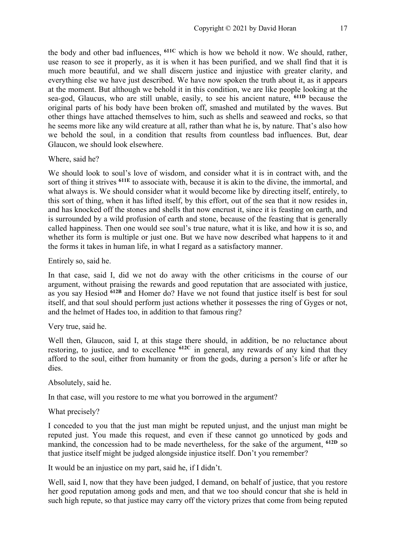the body and other bad influences, **611C** which is how we behold it now. We should, rather, use reason to see it properly, as it is when it has been purified, and we shall find that it is much more beautiful, and we shall discern justice and injustice with greater clarity, and everything else we have just described. We have now spoken the truth about it, as it appears at the moment. But although we behold it in this condition, we are like people looking at the sea-god, Glaucus, who are still unable, easily, to see his ancient nature, **611D** because the original parts of his body have been broken off, smashed and mutilated by the waves. But other things have attached themselves to him, such as shells and seaweed and rocks, so that he seems more like any wild creature at all, rather than what he is, by nature. That's also how we behold the soul, in a condition that results from countless bad influences. But, dear Glaucon, we should look elsewhere.

Where, said he?

We should look to soul's love of wisdom, and consider what it is in contract with, and the sort of thing it strives **611E** to associate with, because it is akin to the divine, the immortal, and what always is. We should consider what it would become like by directing itself, entirely, to this sort of thing, when it has lifted itself, by this effort, out of the sea that it now resides in, and has knocked off the stones and shells that now encrust it, since it is feasting on earth, and is surrounded by a wild profusion of earth and stone, because of the feasting that is generally called happiness. Then one would see soul's true nature, what it is like, and how it is so, and whether its form is multiple or just one. But we have now described what happens to it and the forms it takes in human life, in what I regard as a satisfactory manner.

Entirely so, said he.

In that case, said I, did we not do away with the other criticisms in the course of our argument, without praising the rewards and good reputation that are associated with justice, as you say Hesiod **612B** and Homer do? Have we not found that justice itself is best for soul itself, and that soul should perform just actions whether it possesses the ring of Gyges or not, and the helmet of Hades too, in addition to that famous ring?

#### Very true, said he.

Well then, Glaucon, said I, at this stage there should, in addition, be no reluctance about restoring, to justice, and to excellence **612C** in general, any rewards of any kind that they afford to the soul, either from humanity or from the gods, during a person's life or after he dies.

#### Absolutely, said he.

In that case, will you restore to me what you borrowed in the argument?

#### What precisely?

I conceded to you that the just man might be reputed unjust, and the unjust man might be reputed just. You made this request, and even if these cannot go unnoticed by gods and mankind, the concession had to be made nevertheless, for the sake of the argument, **612D** so that justice itself might be judged alongside injustice itself. Don't you remember?

It would be an injustice on my part, said he, if I didn't.

Well, said I, now that they have been judged, I demand, on behalf of justice, that you restore her good reputation among gods and men, and that we too should concur that she is held in such high repute, so that justice may carry off the victory prizes that come from being reputed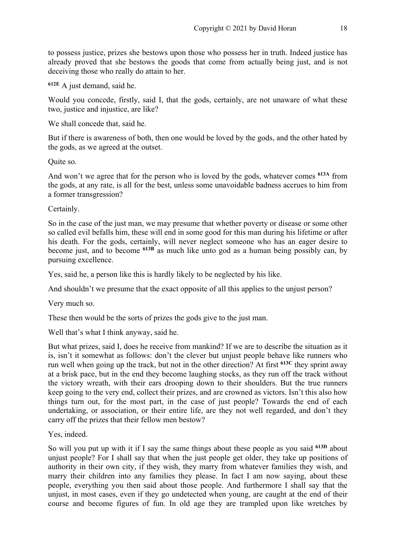to possess justice, prizes she bestows upon those who possess her in truth. Indeed justice has already proved that she bestows the goods that come from actually being just, and is not deceiving those who really do attain to her.

**612E** A just demand, said he.

Would you concede, firstly, said I, that the gods, certainly, are not unaware of what these two, justice and injustice, are like?

We shall concede that, said he.

But if there is awareness of both, then one would be loved by the gods, and the other hated by the gods, as we agreed at the outset.

Quite so.

And won't we agree that for the person who is loved by the gods, whatever comes **613A** from the gods, at any rate, is all for the best, unless some unavoidable badness accrues to him from a former transgression?

Certainly.

So in the case of the just man, we may presume that whether poverty or disease or some other so called evil befalls him, these will end in some good for this man during his lifetime or after his death. For the gods, certainly, will never neglect someone who has an eager desire to become just, and to become **613B** as much like unto god as a human being possibly can, by pursuing excellence.

Yes, said he, a person like this is hardly likely to be neglected by his like.

And shouldn't we presume that the exact opposite of all this applies to the unjust person?

Very much so.

These then would be the sorts of prizes the gods give to the just man.

Well that's what I think anyway, said he.

But what prizes, said I, does he receive from mankind? If we are to describe the situation as it is, isn't it somewhat as follows: don't the clever but unjust people behave like runners who run well when going up the track, but not in the other direction? At first **613C** they sprint away at a brisk pace, but in the end they become laughing stocks, as they run off the track without the victory wreath, with their ears drooping down to their shoulders. But the true runners keep going to the very end, collect their prizes, and are crowned as victors. Isn't this also how things turn out, for the most part, in the case of just people? Towards the end of each undertaking, or association, or their entire life, are they not well regarded, and don't they carry off the prizes that their fellow men bestow?

Yes, indeed.

So will you put up with it if I say the same things about these people as you said **613D** about unjust people? For I shall say that when the just people get older, they take up positions of authority in their own city, if they wish, they marry from whatever families they wish, and marry their children into any families they please. In fact I am now saying, about these people, everything you then said about those people. And furthermore I shall say that the unjust, in most cases, even if they go undetected when young, are caught at the end of their course and become figures of fun. In old age they are trampled upon like wretches by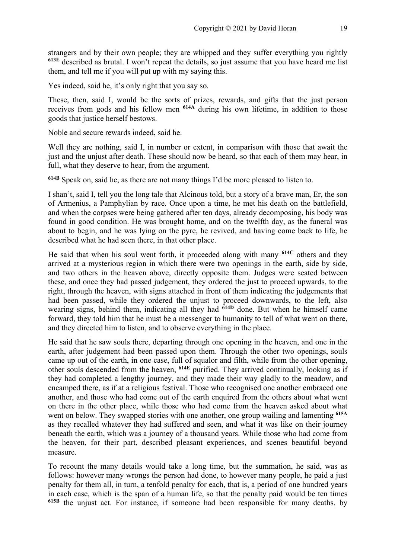strangers and by their own people; they are whipped and they suffer everything you rightly **613E** described as brutal. I won't repeat the details, so just assume that you have heard me list them, and tell me if you will put up with my saying this.

Yes indeed, said he, it's only right that you say so.

These, then, said I, would be the sorts of prizes, rewards, and gifts that the just person receives from gods and his fellow men **614A** during his own lifetime, in addition to those goods that justice herself bestows.

Noble and secure rewards indeed, said he.

Well they are nothing, said I, in number or extent, in comparison with those that await the just and the unjust after death. These should now be heard, so that each of them may hear, in full, what they deserve to hear, from the argument.

**614B** Speak on, said he, as there are not many things I'd be more pleased to listen to.

I shan't, said I, tell you the long tale that Alcinous told, but a story of a brave man, Er, the son of Armenius, a Pamphylian by race. Once upon a time, he met his death on the battlefield, and when the corpses were being gathered after ten days, already decomposing, his body was found in good condition. He was brought home, and on the twelfth day, as the funeral was about to begin, and he was lying on the pyre, he revived, and having come back to life, he described what he had seen there, in that other place.

He said that when his soul went forth, it proceeded along with many **614C** others and they arrived at a mysterious region in which there were two openings in the earth, side by side, and two others in the heaven above, directly opposite them. Judges were seated between these, and once they had passed judgement, they ordered the just to proceed upwards, to the right, through the heaven, with signs attached in front of them indicating the judgements that had been passed, while they ordered the unjust to proceed downwards, to the left, also wearing signs, behind them, indicating all they had <sup>614D</sup> done. But when he himself came forward, they told him that he must be a messenger to humanity to tell of what went on there, and they directed him to listen, and to observe everything in the place.

He said that he saw souls there, departing through one opening in the heaven, and one in the earth, after judgement had been passed upon them. Through the other two openings, souls came up out of the earth, in one case, full of squalor and filth, while from the other opening, other souls descended from the heaven, **614E** purified. They arrived continually, looking as if they had completed a lengthy journey, and they made their way gladly to the meadow, and encamped there, as if at a religious festival. Those who recognised one another embraced one another, and those who had come out of the earth enquired from the others about what went on there in the other place, while those who had come from the heaven asked about what went on below. They swapped stories with one another, one group wailing and lamenting **615A** as they recalled whatever they had suffered and seen, and what it was like on their journey beneath the earth, which was a journey of a thousand years. While those who had come from the heaven, for their part, described pleasant experiences, and scenes beautiful beyond measure.

To recount the many details would take a long time, but the summation, he said, was as follows: however many wrongs the person had done, to however many people, he paid a just penalty for them all, in turn, a tenfold penalty for each, that is, a period of one hundred years in each case, which is the span of a human life, so that the penalty paid would be ten times **615B** the unjust act. For instance, if someone had been responsible for many deaths, by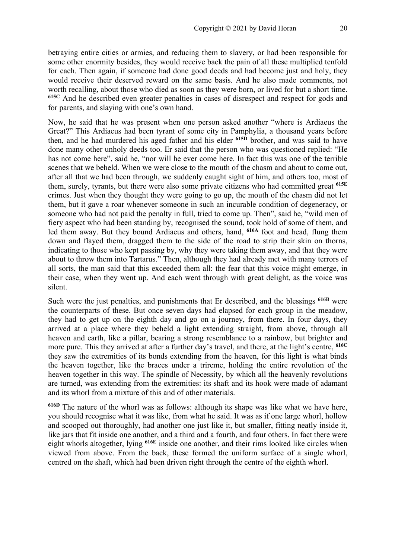betraying entire cities or armies, and reducing them to slavery, or had been responsible for some other enormity besides, they would receive back the pain of all these multiplied tenfold for each. Then again, if someone had done good deeds and had become just and holy, they would receive their deserved reward on the same basis. And he also made comments, not worth recalling, about those who died as soon as they were born, or lived for but a short time. **615C** And he described even greater penalties in cases of disrespect and respect for gods and for parents, and slaying with one's own hand.

Now, he said that he was present when one person asked another "where is Ardiaeus the Great?" This Ardiaeus had been tyrant of some city in Pamphylia, a thousand years before then, and he had murdered his aged father and his elder **615D** brother, and was said to have done many other unholy deeds too. Er said that the person who was questioned replied: "He has not come here", said he, "nor will he ever come here. In fact this was one of the terrible scenes that we beheld. When we were close to the mouth of the chasm and about to come out, after all that we had been through, we suddenly caught sight of him, and others too, most of them, surely, tyrants, but there were also some private citizens who had committed great **615E** crimes. Just when they thought they were going to go up, the mouth of the chasm did not let them, but it gave a roar whenever someone in such an incurable condition of degeneracy, or someone who had not paid the penalty in full, tried to come up. Then", said he, "wild men of fiery aspect who had been standing by, recognised the sound, took hold of some of them, and led them away. But they bound Ardiaeus and others, hand, **616A** foot and head, flung them down and flayed them, dragged them to the side of the road to strip their skin on thorns, indicating to those who kept passing by, why they were taking them away, and that they were about to throw them into Tartarus." Then, although they had already met with many terrors of all sorts, the man said that this exceeded them all: the fear that this voice might emerge, in their case, when they went up. And each went through with great delight, as the voice was silent.

Such were the just penalties, and punishments that Er described, and the blessings **616B** were the counterparts of these. But once seven days had elapsed for each group in the meadow, they had to get up on the eighth day and go on a journey, from there. In four days, they arrived at a place where they beheld a light extending straight, from above, through all heaven and earth, like a pillar, bearing a strong resemblance to a rainbow, but brighter and more pure. This they arrived at after a further day's travel, and there, at the light's centre, **616C** they saw the extremities of its bonds extending from the heaven, for this light is what binds the heaven together, like the braces under a trireme, holding the entire revolution of the heaven together in this way. The spindle of Necessity, by which all the heavenly revolutions are turned, was extending from the extremities: its shaft and its hook were made of adamant and its whorl from a mixture of this and of other materials.

**616D** The nature of the whorl was as follows: although its shape was like what we have here, you should recognise what it was like, from what he said. It was as if one large whorl, hollow and scooped out thoroughly, had another one just like it, but smaller, fitting neatly inside it, like jars that fit inside one another, and a third and a fourth, and four others. In fact there were eight whorls altogether, lying **616E** inside one another, and their rims looked like circles when viewed from above. From the back, these formed the uniform surface of a single whorl, centred on the shaft, which had been driven right through the centre of the eighth whorl.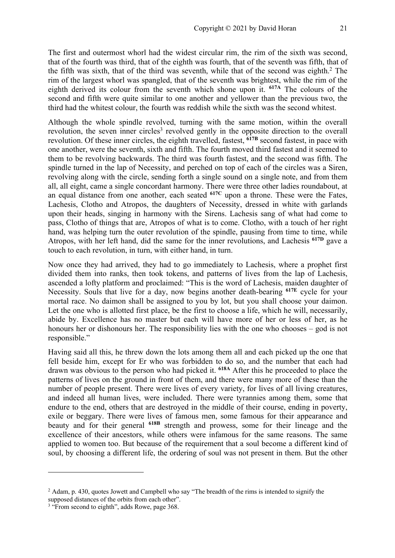The first and outermost whorl had the widest circular rim, the rim of the sixth was second, that of the fourth was third, that of the eighth was fourth, that of the seventh was fifth, that of the fifth was sixth, that of the third was seventh, while that of the second was eighth.<sup>2</sup> The rim of the largest whorl was spangled, that of the seventh was brightest, while the rim of the eighth derived its colour from the seventh which shone upon it. **617A** The colours of the second and fifth were quite similar to one another and yellower than the previous two, the third had the whitest colour, the fourth was reddish while the sixth was the second whitest.

Although the whole spindle revolved, turning with the same motion, within the overall revolution, the seven inner circles<sup>3</sup> revolved gently in the opposite direction to the overall revolution. Of these inner circles, the eighth travelled, fastest, **617B** second fastest, in pace with one another, were the seventh, sixth and fifth. The fourth moved third fastest and it seemed to them to be revolving backwards. The third was fourth fastest, and the second was fifth. The spindle turned in the lap of Necessity, and perched on top of each of the circles was a Siren, revolving along with the circle, sending forth a single sound on a single note, and from them all, all eight, came a single concordant harmony. There were three other ladies roundabout, at an equal distance from one another, each seated **617C** upon a throne. These were the Fates, Lachesis, Clotho and Atropos, the daughters of Necessity, dressed in white with garlands upon their heads, singing in harmony with the Sirens. Lachesis sang of what had come to pass, Clotho of things that are, Atropos of what is to come. Clotho, with a touch of her right hand, was helping turn the outer revolution of the spindle, pausing from time to time, while Atropos, with her left hand, did the same for the inner revolutions, and Lachesis **617D** gave a touch to each revolution, in turn, with either hand, in turn.

Now once they had arrived, they had to go immediately to Lachesis, where a prophet first divided them into ranks, then took tokens, and patterns of lives from the lap of Lachesis, ascended a lofty platform and proclaimed: "This is the word of Lachesis, maiden daughter of Necessity. Souls that live for a day, now begins another death-bearing **617E** cycle for your mortal race. No daimon shall be assigned to you by lot, but you shall choose your daimon. Let the one who is allotted first place, be the first to choose a life, which he will, necessarily, abide by. Excellence has no master but each will have more of her or less of her, as he honours her or dishonours her. The responsibility lies with the one who chooses – god is not responsible."

Having said all this, he threw down the lots among them all and each picked up the one that fell beside him, except for Er who was forbidden to do so, and the number that each had drawn was obvious to the person who had picked it. **618A** After this he proceeded to place the patterns of lives on the ground in front of them, and there were many more of these than the number of people present. There were lives of every variety, for lives of all living creatures, and indeed all human lives, were included. There were tyrannies among them, some that endure to the end, others that are destroyed in the middle of their course, ending in poverty, exile or beggary. There were lives of famous men, some famous for their appearance and beauty and for their general **618B** strength and prowess, some for their lineage and the excellence of their ancestors, while others were infamous for the same reasons. The same applied to women too. But because of the requirement that a soul become a different kind of soul, by choosing a different life, the ordering of soul was not present in them. But the other

<sup>&</sup>lt;sup>2</sup> Adam, p. 430, quotes Jowett and Campbell who say "The breadth of the rims is intended to signify the

supposed distances of the orbits from each other".

<sup>&</sup>lt;sup>3</sup> "From second to eighth", adds Rowe, page 368.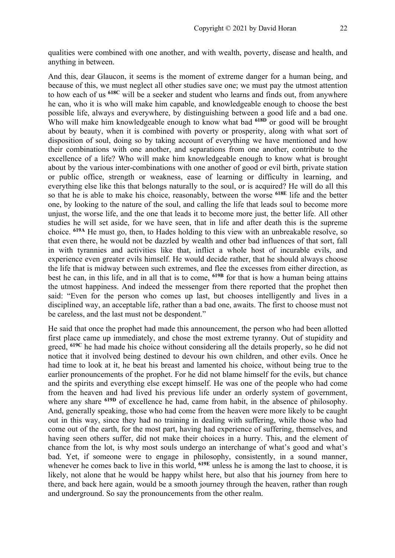qualities were combined with one another, and with wealth, poverty, disease and health, and anything in between.

And this, dear Glaucon, it seems is the moment of extreme danger for a human being, and because of this, we must neglect all other studies save one; we must pay the utmost attention to how each of us **618C** will be a seeker and student who learns and finds out, from anywhere he can, who it is who will make him capable, and knowledgeable enough to choose the best possible life, always and everywhere, by distinguishing between a good life and a bad one. Who will make him knowledgeable enough to know what bad **618D** or good will be brought about by beauty, when it is combined with poverty or prosperity, along with what sort of disposition of soul, doing so by taking account of everything we have mentioned and how their combinations with one another, and separations from one another, contribute to the excellence of a life? Who will make him knowledgeable enough to know what is brought about by the various inter-combinations with one another of good or evil birth, private station or public office, strength or weakness, ease of learning or difficulty in learning, and everything else like this that belongs naturally to the soul, or is acquired? He will do all this so that he is able to make his choice, reasonably, between the worse **618E** life and the better one, by looking to the nature of the soul, and calling the life that leads soul to become more unjust, the worse life, and the one that leads it to become more just, the better life. All other studies he will set aside, for we have seen, that in life and after death this is the supreme choice. **619A** He must go, then, to Hades holding to this view with an unbreakable resolve, so that even there, he would not be dazzled by wealth and other bad influences of that sort, fall in with tyrannies and activities like that, inflict a whole host of incurable evils, and experience even greater evils himself. He would decide rather, that he should always choose the life that is midway between such extremes, and flee the excesses from either direction, as best he can, in this life, and in all that is to come, **619B** for that is how a human being attains the utmost happiness. And indeed the messenger from there reported that the prophet then said: "Even for the person who comes up last, but chooses intelligently and lives in a disciplined way, an acceptable life, rather than a bad one, awaits. The first to choose must not be careless, and the last must not be despondent."

He said that once the prophet had made this announcement, the person who had been allotted first place came up immediately, and chose the most extreme tyranny. Out of stupidity and greed, **619C** he had made his choice without considering all the details properly, so he did not notice that it involved being destined to devour his own children, and other evils. Once he had time to look at it, he beat his breast and lamented his choice, without being true to the earlier pronouncements of the prophet. For he did not blame himself for the evils, but chance and the spirits and everything else except himself. He was one of the people who had come from the heaven and had lived his previous life under an orderly system of government, where any share <sup>619D</sup> of excellence he had, came from habit, in the absence of philosophy. And, generally speaking, those who had come from the heaven were more likely to be caught out in this way, since they had no training in dealing with suffering, while those who had come out of the earth, for the most part, having had experience of suffering, themselves, and having seen others suffer, did not make their choices in a hurry. This, and the element of chance from the lot, is why most souls undergo an interchange of what's good and what's bad. Yet, if someone were to engage in philosophy, consistently, in a sound manner, whenever he comes back to live in this world, **619E** unless he is among the last to choose, it is likely, not alone that he would be happy whilst here, but also that his journey from here to there, and back here again, would be a smooth journey through the heaven, rather than rough and underground. So say the pronouncements from the other realm.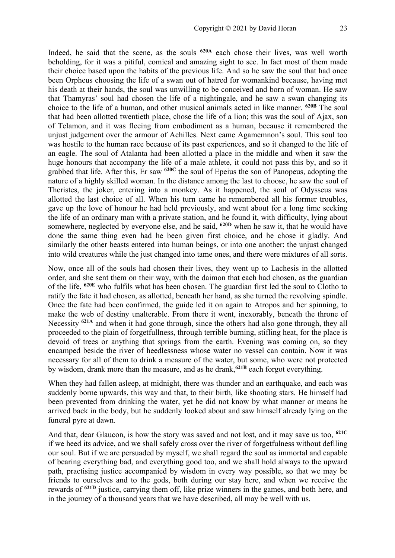Indeed, he said that the scene, as the souls **620A** each chose their lives, was well worth beholding, for it was a pitiful, comical and amazing sight to see. In fact most of them made their choice based upon the habits of the previous life. And so he saw the soul that had once been Orpheus choosing the life of a swan out of hatred for womankind because, having met his death at their hands, the soul was unwilling to be conceived and born of woman. He saw that Thamyras' soul had chosen the life of a nightingale, and he saw a swan changing its choice to the life of a human, and other musical animals acted in like manner. **620B** The soul that had been allotted twentieth place, chose the life of a lion; this was the soul of Ajax, son of Telamon, and it was fleeing from embodiment as a human, because it remembered the unjust judgement over the armour of Achilles. Next came Agamemnon's soul. This soul too was hostile to the human race because of its past experiences, and so it changed to the life of an eagle. The soul of Atalanta had been allotted a place in the middle and when it saw the huge honours that accompany the life of a male athlete, it could not pass this by, and so it grabbed that life. After this, Er saw **620C** the soul of Epeius the son of Panopeus, adopting the nature of a highly skilled woman. In the distance among the last to choose, he saw the soul of Theristes, the joker, entering into a monkey. As it happened, the soul of Odysseus was allotted the last choice of all. When his turn came he remembered all his former troubles, gave up the love of honour he had held previously, and went about for a long time seeking the life of an ordinary man with a private station, and he found it, with difficulty, lying about somewhere, neglected by everyone else, and he said, **620D** when he saw it, that he would have done the same thing even had he been given first choice, and he chose it gladly. And similarly the other beasts entered into human beings, or into one another: the unjust changed into wild creatures while the just changed into tame ones, and there were mixtures of all sorts.

Now, once all of the souls had chosen their lives, they went up to Lachesis in the allotted order, and she sent them on their way, with the daimon that each had chosen, as the guardian of the life, **620E** who fulfils what has been chosen. The guardian first led the soul to Clotho to ratify the fate it had chosen, as allotted, beneath her hand, as she turned the revolving spindle. Once the fate had been confirmed, the guide led it on again to Atropos and her spinning, to make the web of destiny unalterable. From there it went, inexorably, beneath the throne of Necessity **621A** and when it had gone through, since the others had also gone through, they all proceeded to the plain of forgetfullness, through terrible burning, stifling heat, for the place is devoid of trees or anything that springs from the earth. Evening was coming on, so they encamped beside the river of heedlessness whose water no vessel can contain. Now it was necessary for all of them to drink a measure of the water, but some, who were not protected by wisdom, drank more than the measure, and as he drank,**621B** each forgot everything.

When they had fallen asleep, at midnight, there was thunder and an earthquake, and each was suddenly borne upwards, this way and that, to their birth, like shooting stars. He himself had been prevented from drinking the water, yet he did not know by what manner or means he arrived back in the body, but he suddenly looked about and saw himself already lying on the funeral pyre at dawn.

And that, dear Glaucon, is how the story was saved and not lost, and it may save us too, **621C** if we heed its advice, and we shall safely cross over the river of forgetfulness without defiling our soul. But if we are persuaded by myself, we shall regard the soul as immortal and capable of bearing everything bad, and everything good too, and we shall hold always to the upward path, practising justice accompanied by wisdom in every way possible, so that we may be friends to ourselves and to the gods, both during our stay here, and when we receive the rewards of **621D** justice, carrying them off, like prize winners in the games, and both here, and in the journey of a thousand years that we have described, all may be well with us.